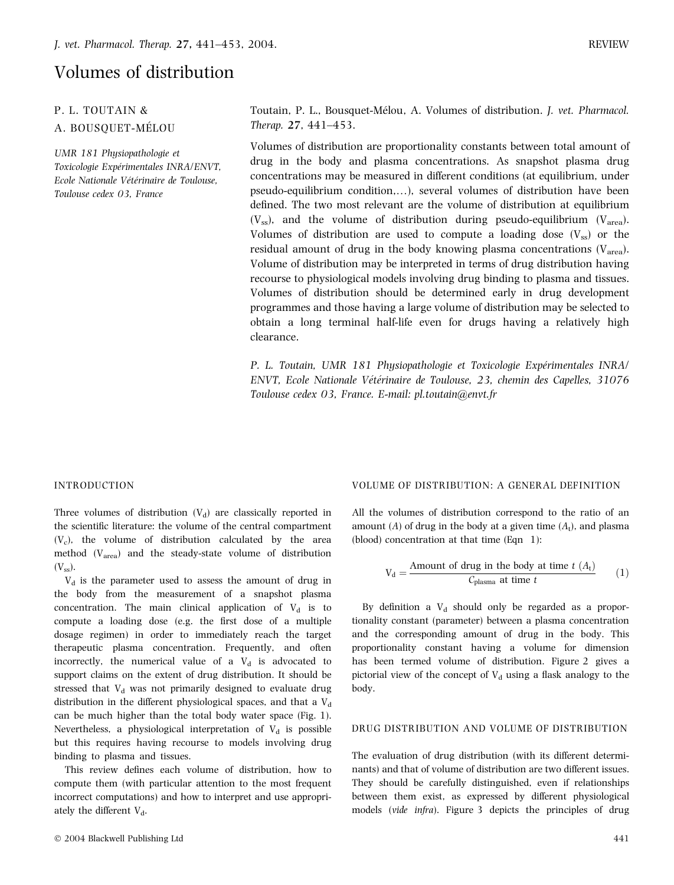# Volumes of distribution

# P. L. TOUTAIN & A. BOUSQUET-MÉLOU

UMR 181 Physiopathologie et Toxicologie Expérimentales INRA/ENVT, Ecole Nationale Vétérinaire de Toulouse, Toulouse cedex 03, France

Toutain, P. L., Bousquet-Mélou, A. Volumes of distribution. J. vet. Pharmacol. Therap. 27, 441–453.

Volumes of distribution are proportionality constants between total amount of drug in the body and plasma concentrations. As snapshot plasma drug concentrations may be measured in different conditions (at equilibrium, under pseudo-equilibrium condition,…), several volumes of distribution have been defined. The two most relevant are the volume of distribution at equilibrium  $(V_{ss})$ , and the volume of distribution during pseudo-equilibrium  $(V_{area})$ . Volumes of distribution are used to compute a loading dose  $(V_{ss})$  or the residual amount of drug in the body knowing plasma concentrations  $(V_{area})$ . Volume of distribution may be interpreted in terms of drug distribution having recourse to physiological models involving drug binding to plasma and tissues. Volumes of distribution should be determined early in drug development programmes and those having a large volume of distribution may be selected to obtain a long terminal half-life even for drugs having a relatively high clearance.

P. L. Toutain, UMR 181 Physiopathologie et Toxicologie Expérimentales INRA/ ENVT, Ecole Nationale Vétérinaire de Toulouse, 23, chemin des Capelles, 31076 Toulouse cedex 03, France. E-mail: pl.toutain@envt.fr

#### INTRODUCTION

Three volumes of distribution  $(V_d)$  are classically reported in the scientific literature: the volume of the central compartment  $(V_c)$ , the volume of distribution calculated by the area method  $(V_{area})$  and the steady-state volume of distribution  $(V_{ss}).$ 

 $V<sub>d</sub>$  is the parameter used to assess the amount of drug in the body from the measurement of a snapshot plasma concentration. The main clinical application of  $V_d$  is to compute a loading dose (e.g. the first dose of a multiple dosage regimen) in order to immediately reach the target therapeutic plasma concentration. Frequently, and often incorrectly, the numerical value of a  $V<sub>d</sub>$  is advocated to support claims on the extent of drug distribution. It should be stressed that  $V_d$  was not primarily designed to evaluate drug distribution in the different physiological spaces, and that a  $V_d$ can be much higher than the total body water space (Fig. 1). Nevertheless, a physiological interpretation of  $V_d$  is possible but this requires having recourse to models involving drug binding to plasma and tissues.

This review defines each volume of distribution, how to compute them (with particular attention to the most frequent incorrect computations) and how to interpret and use appropriately the different  $V_d$ .

#### VOLUME OF DISTRIBUTION: A GENERAL DEFINITION

All the volumes of distribution correspond to the ratio of an amount (A) of drug in the body at a given time  $(A_t)$ , and plasma (blood) concentration at that time (Eqn 1):

$$
V_d = \frac{\text{Amount of drug in the body at time } t (A_t)}{C_{\text{plasma at time } t}}
$$
 (1)

By definition a  $V<sub>d</sub>$  should only be regarded as a proportionality constant (parameter) between a plasma concentration and the corresponding amount of drug in the body. This proportionality constant having a volume for dimension has been termed volume of distribution. Figure 2 gives a pictorial view of the concept of  $V<sub>d</sub>$  using a flask analogy to the body.

#### DRUG DISTRIBUTION AND VOLUME OF DISTRIBUTION

The evaluation of drug distribution (with its different determinants) and that of volume of distribution are two different issues. They should be carefully distinguished, even if relationships between them exist, as expressed by different physiological models (vide infra). Figure 3 depicts the principles of drug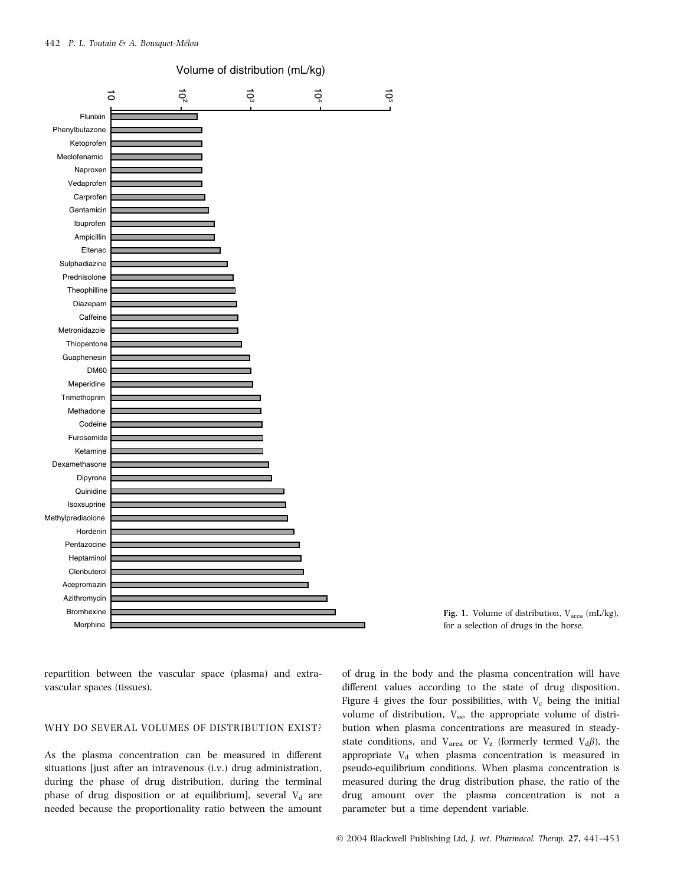



repartition between the vascular space (plasma) and extravascular spaces (tissues).

#### WHY DO SEVERAL VOLUMES OF DISTRIBUTION EXIST?

As the plasma concentration can be measured in different situations [just after an intravenous (i.v.) drug administration, during the phase of drug distribution, during the terminal phase of drug disposition or at equilibrium], several  $V_d$  are needed because the proportionality ratio between the amount of drug in the body and the plasma concentration will have different values according to the state of drug disposition. Figure 4 gives the four possibilities, with  $V_c$  being the initial volume of distribution,  $V_{ss}$ , the appropriate volume of distribution when plasma concentrations are measured in steadystate conditions, and  $V_{\text{area}}$  or  $V_{\text{z}}$  (formerly termed  $V_{\text{d}}\beta$ ), the appropriate  $V_d$  when plasma concentration is measured in pseudo-equilibrium conditions. When plasma concentration is measured during the drug distribution phase, the ratio of the drug amount over the plasma concentration is not a parameter but a time dependent variable.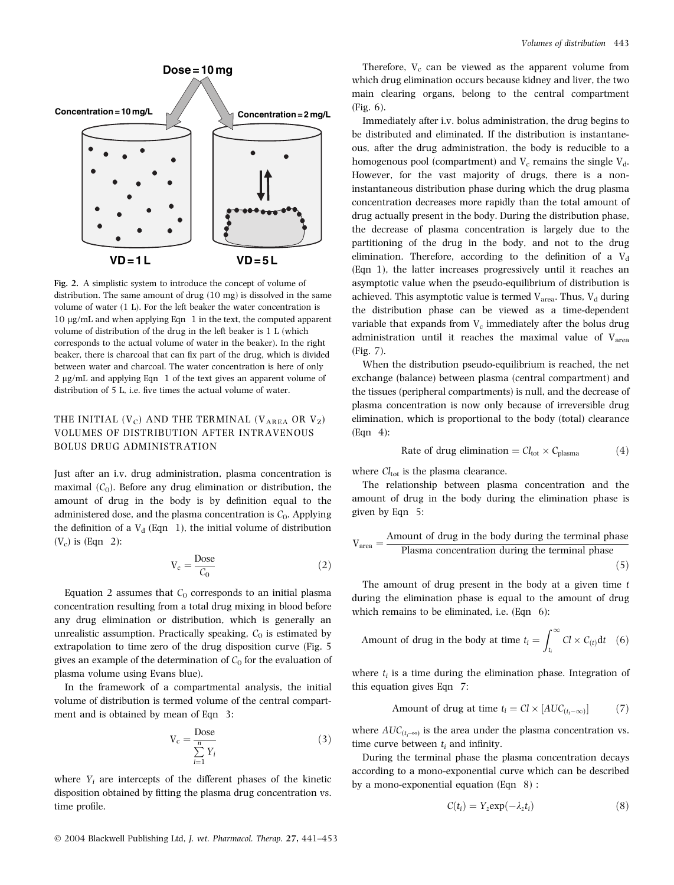

Fig. 2. A simplistic system to introduce the concept of volume of distribution. The same amount of drug (10 mg) is dissolved in the same volume of water (1 L). For the left beaker the water concentration is  $10 \mu g/mL$  and when applying Eqn 1 in the text, the computed apparent volume of distribution of the drug in the left beaker is 1 L (which corresponds to the actual volume of water in the beaker). In the right beaker, there is charcoal that can fix part of the drug, which is divided between water and charcoal. The water concentration is here of only 2 µg/mL and applying Eqn 1 of the text gives an apparent volume of distribution of 5 L, i.e. five times the actual volume of water.

# THE INITIAL  $(V_C)$  AND THE TERMINAL  $(V_{AREA}$  OR  $V_Z)$ VOLUMES OF DISTRIBUTION AFTER INTRAVENOUS BOLUS DRUG ADMINISTRATION

Just after an i.v. drug administration, plasma concentration is maximal  $(C_0)$ . Before any drug elimination or distribution, the amount of drug in the body is by definition equal to the administered dose, and the plasma concentration is  $C_0$ . Applying the definition of a  $V_d$  (Eqn 1), the initial volume of distribution  $(V_c)$  is (Eqn 2):

$$
V_c = \frac{\text{Dose}}{C_0} \tag{2}
$$

Equation 2 assumes that  $C_0$  corresponds to an initial plasma concentration resulting from a total drug mixing in blood before any drug elimination or distribution, which is generally an unrealistic assumption. Practically speaking,  $C_0$  is estimated by extrapolation to time zero of the drug disposition curve (Fig. 5 gives an example of the determination of  $C_0$  for the evaluation of plasma volume using Evans blue).

In the framework of a compartmental analysis, the initial volume of distribution is termed volume of the central compartment and is obtained by mean of Eqn 3:

$$
V_c = \frac{\text{Dose}}{\sum_{i=1}^{n} Y_i}
$$
 (3)

where  $Y_i$  are intercepts of the different phases of the kinetic disposition obtained by fitting the plasma drug concentration vs. time profile.

Therefore,  $V_c$  can be viewed as the apparent volume from which drug elimination occurs because kidney and liver, the two main clearing organs, belong to the central compartment (Fig. 6).

Immediately after i.v. bolus administration, the drug begins to be distributed and eliminated. If the distribution is instantaneous, after the drug administration, the body is reducible to a homogenous pool (compartment) and  $V_c$  remains the single  $V_d$ . However, for the vast majority of drugs, there is a noninstantaneous distribution phase during which the drug plasma concentration decreases more rapidly than the total amount of drug actually present in the body. During the distribution phase, the decrease of plasma concentration is largely due to the partitioning of the drug in the body, and not to the drug elimination. Therefore, according to the definition of a  $V<sub>d</sub>$ (Eqn 1), the latter increases progressively until it reaches an asymptotic value when the pseudo-equilibrium of distribution is achieved. This asymptotic value is termed  $V_{area}$ . Thus,  $V_d$  during the distribution phase can be viewed as a time-dependent variable that expands from  $V_c$  immediately after the bolus drug administration until it reaches the maximal value of  $V_{\text{area}}$ (Fig. 7).

When the distribution pseudo-equilibrium is reached, the net exchange (balance) between plasma (central compartment) and the tissues (peripheral compartments) is null, and the decrease of plasma concentration is now only because of irreversible drug elimination, which is proportional to the body (total) clearance (Eqn 4):

Rate of drug elimination = 
$$
Cl_{tot} \times C_{plasma}
$$
 (4)

where  $Cl<sub>tot</sub>$  is the plasma clearance.

The relationship between plasma concentration and the amount of drug in the body during the elimination phase is given by Eqn 5:

$$
V_{\text{area}} = \frac{\text{Amount of drug in the body during the terminal phase}}{\text{Plasma concentration during the terminal phase}}
$$
\n(5)

The amount of drug present in the body at a given time  $t$ during the elimination phase is equal to the amount of drug which remains to be eliminated, i.e. (Eqn 6):

Amount of drug in the body at time 
$$
t_i = \int_{t_i}^{\infty} Cl \times C_{(t)} dt
$$
 (6)

where  $t_i$  is a time during the elimination phase. Integration of this equation gives Eqn 7:

Amount of drug at time 
$$
t_i = Cl \times [AUC_{(t_i-\infty)}]
$$
 (7)

where  $AUC_{(t_i\text{--}\infty)}$  is the area under the plasma concentration vs. time curve between  $t_i$  and infinity.

During the terminal phase the plasma concentration decays according to a mono-exponential curve which can be described by a mono-exponential equation (Eqn 8) :

$$
C(t_i) = Y_z \exp(-\lambda_z t_i) \tag{8}
$$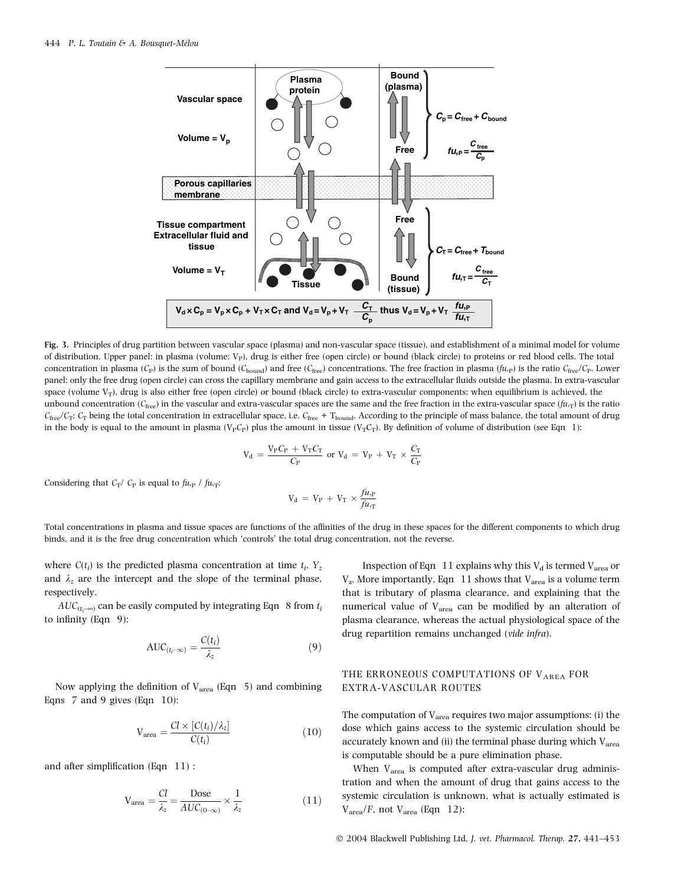

Fig. 3. Principles of drug partition between vascular space (plasma) and non-vascular space (tissue), and establishment of a minimal model for volume of distribution. Upper panel: in plasma (volume:  $V_P$ ), drug is either free (open circle) or bound (black circle) to proteins or red blood cells. The total concentration in plasma (C<sub>P</sub>) is the sum of bound (C<sub>bound</sub>) and free (C<sub>free</sub>) concentrations. The free fraction in plasma ( $f_{u,p}$ ) is the ratio C<sub>free</sub>/C<sub>P</sub>. Lower panel: only the free drug (open circle) can cross the capillary membrane and gain access to the extracellular fluids outside the plasma. In extra-vascular space (volume  $V_T$ ), drug is also either free (open circle) or bound (black circle) to extra-vascular components; when equilibrium is achieved, the unbound concentration ( $C_{\text{free}}$ ) in the vascular and extra-vascular spaces are the same and the free fraction in the extra-vascular space ( $f(u,\tau)$ ) is the ratio  $C_{\text{free}}/C_T$ ;  $C_T$  being the total concentration in extracellular space, i.e.  $C_{\text{free}} + T_{\text{bound}}$ . According to the principle of mass balance, the total amount of drug in the body is equal to the amount in plasma (V<sub>P</sub>C<sub>P</sub>) plus the amount in tissue (V<sub>T</sub>C<sub>T</sub>). By definition of volume of distribution (see Eqn 1):

$$
V_d \, = \frac{V_P C_P \, + \, V_T C_T}{C_P} \text{ or } V_d \, = \, V_P \, + \, V_T \, \times \frac{C_T}{C_P}
$$

Considering that  $C_T$ /  $C_P$  is equal to  $fu_{\text{P}}$  /  $fu_{\text{P}}$ :

$$
V_d\,=\,V_P\,+\,V_T\,\times\frac{\mathit{fu}_\cdot P}{\mathit{fu}_\cdot T}
$$

Total concentrations in plasma and tissue spaces are functions of the affinities of the drug in these spaces for the different components to which drug binds, and it is the free drug concentration which 'controls' the total drug concentration, not the reverse.

where  $C(t_i)$  is the predicted plasma concentration at time  $t_i$ ,  $Y_z$ and  $\lambda_z$  are the intercept and the slope of the terminal phase, respectively.

 $AUC_{(t_{i} \rightarrow \infty)}$  can be easily computed by integrating Eqn  $8$  from  $t_{i}$ to infinity (Eqn 9):

$$
AUC_{(t_{l}-\infty)} = \frac{C(t_{l})}{\lambda_{z}}
$$
\n(9)

Now applying the definition of  $V_{area}$  (Eqn 5) and combining Eqns 7 and 9 gives (Eqn 10):

$$
V_{area} = \frac{Cl \times [C(t_i)/\lambda_z]}{C(t_i)}
$$
(10)

and after simplification (Eqn 11) :

$$
V_{\text{area}} = \frac{Cl}{\lambda_z} = \frac{\text{Dose}}{\text{AUC}_{(0-\infty)}} \times \frac{1}{\lambda_z} \tag{11}
$$

Inspection of Eqn 11 explains why this  $V_d$  is termed  $V_{area}$  or  $V_z$ . More importantly, Eqn 11 shows that  $V_{\text{area}}$  is a volume term that is tributary of plasma clearance, and explaining that the numerical value of V<sub>area</sub> can be modified by an alteration of plasma clearance, whereas the actual physiological space of the drug repartition remains unchanged (vide infra).

#### THE ERRONEOUS COMPUTATIONS OF VAREA FOR EXTRA-VASCULAR ROUTES

The computation of  $V_{\text{area}}$  requires two major assumptions: (i) the dose which gains access to the systemic circulation should be accurately known and (ii) the terminal phase during which  $V_{area}$ is computable should be a pure elimination phase.

When  $V_{area}$  is computed after extra-vascular drug administration and when the amount of drug that gains access to the systemic circulation is unknown, what is actually estimated is  $V<sub>area</sub>/F$ , not  $V<sub>area</sub>$  (Eqn 12):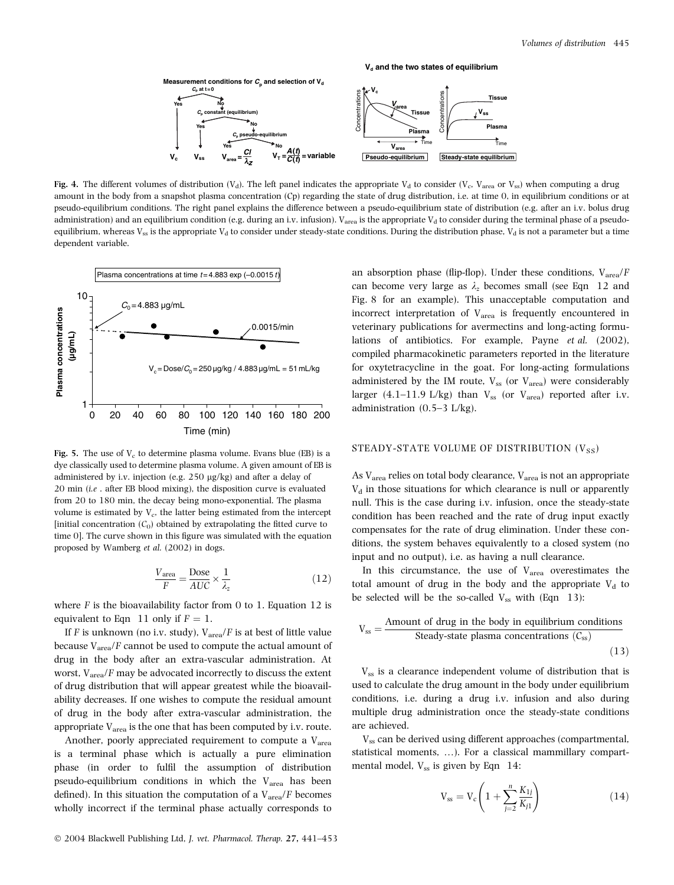

Fig. 4. The different volumes of distribution  $(V_d)$ . The left panel indicates the appropriate  $V_d$  to consider  $(V_c, V_{area}$  or  $V_{ss}$ ) when computing a drug amount in the body from a snapshot plasma concentration (Cp) regarding the state of drug distribution, i.e. at time 0, in equilibrium conditions or at pseudo-equilibrium conditions. The right panel explains the difference between a pseudo-equilibrium state of distribution (e.g. after an i.v. bolus drug administration) and an equilibrium condition (e.g. during an i.v. infusion). V<sub>area</sub> is the appropriate V<sub>d</sub> to consider during the terminal phase of a pseudoequilibrium, whereas  $V_{ss}$  is the appropriate  $V_d$  to consider under steady-state conditions. During the distribution phase,  $V_d$  is not a parameter but a time dependent variable.



Fig. 5. The use of  $V_c$  to determine plasma volume. Evans blue (EB) is a dye classically used to determine plasma volume. A given amount of EB is administered by i.v. injection (e.g.  $250 \text{ µg/kg}$ ) and after a delay of  $20$  min (i.e. after EB blood mixing), the disposition curve is evaluated from 20 to 180 min, the decay being mono-exponential. The plasma volume is estimated by  $V_c$ , the latter being estimated from the intercept [initial concentration  $(C_0)$  obtained by extrapolating the fitted curve to time 0]. The curve shown in this figure was simulated with the equation proposed by Wamberg et al. (2002) in dogs.

$$
\frac{V_{\text{area}}}{F} = \frac{\text{Dose}}{AUC} \times \frac{1}{\lambda_z} \tag{12}
$$

where  $F$  is the bioavailability factor from 0 to 1. Equation 12 is equivalent to Eqn 11 only if  $F = 1$ .

If F is unknown (no i.v. study),  $V_{\text{area}}/F$  is at best of little value because  $V_{area}/F$  cannot be used to compute the actual amount of drug in the body after an extra-vascular administration. At worst,  $V_{area}/F$  may be advocated incorrectly to discuss the extent of drug distribution that will appear greatest while the bioavailability decreases. If one wishes to compute the residual amount of drug in the body after extra-vascular administration, the appropriate  $V_{area}$  is the one that has been computed by i.v. route.

Another, poorly appreciated requirement to compute a  $V_{area}$ is a terminal phase which is actually a pure elimination phase (in order to fulfil the assumption of distribution pseudo-equilibrium conditions in which the  $V_{area}$  has been defined). In this situation the computation of a  $V_{area}/F$  becomes wholly incorrect if the terminal phase actually corresponds to

an absorption phase (flip-flop). Under these conditions,  $V_{area}/F$ can become very large as  $\lambda_z$  becomes small (see Eqn 12 and Fig. 8 for an example). This unacceptable computation and incorrect interpretation of  $V_{\text{area}}$  is frequently encountered in veterinary publications for avermectins and long-acting formulations of antibiotics. For example, Payne et al. (2002), compiled pharmacokinetic parameters reported in the literature for oxytetracycline in the goat. For long-acting formulations administered by the IM route,  $V_{ss}$  (or  $V_{area}$ ) were considerably larger (4.1–11.9 L/kg) than  $V_{ss}$  (or  $V_{area}$ ) reported after i.v. administration (0.5–3 L/kg).

#### STEADY-STATE VOLUME OF DISTRIBUTION  $(V_{SS})$

As  $V_{area}$  relies on total body clearance,  $V_{area}$  is not an appropriate  $V<sub>d</sub>$  in those situations for which clearance is null or apparently null. This is the case during i.v. infusion, once the steady-state condition has been reached and the rate of drug input exactly compensates for the rate of drug elimination. Under these conditions, the system behaves equivalently to a closed system (no input and no output), i.e. as having a null clearance.

In this circumstance, the use of  $V_{area}$  overestimates the total amount of drug in the body and the appropriate  $V_d$  to be selected will be the so-called  $V_{ss}$  with (Eqn 13):

$$
V_{ss} = \frac{Amount of drug in the body in equilibrium conditions}{Steady-state plasma concentrations (C_{ss})}
$$
\n(13)

 $V_{ss}$  is a clearance independent volume of distribution that is used to calculate the drug amount in the body under equilibrium conditions, i.e. during a drug i.v. infusion and also during multiple drug administration once the steady-state conditions are achieved.

V<sub>ss</sub> can be derived using different approaches (compartmental, statistical moments, …). For a classical mammillary compartmental model,  $V_{ss}$  is given by Eqn 14:

$$
V_{ss} = V_c \left( 1 + \sum_{j=2}^{n} \frac{K_{1j}}{K_{j1}} \right)
$$
 (14)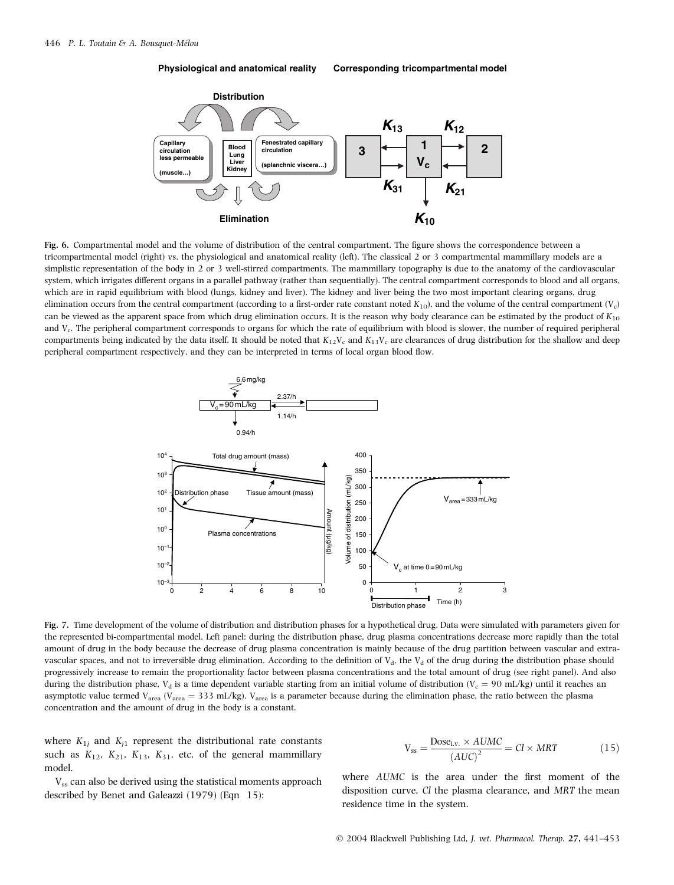**Physiological and anatomical reality Corresponding tricompartmental model**



Fig. 6. Compartmental model and the volume of distribution of the central compartment. The figure shows the correspondence between a tricompartmental model (right) vs. the physiological and anatomical reality (left). The classical 2 or 3 compartmental mammillary models are a simplistic representation of the body in 2 or 3 well-stirred compartments. The mammillary topography is due to the anatomy of the cardiovascular system, which irrigates different organs in a parallel pathway (rather than sequentially). The central compartment corresponds to blood and all organs, which are in rapid equilibrium with blood (lungs, kidney and liver). The kidney and liver being the two most important clearing organs, drug elimination occurs from the central compartment (according to a first-order rate constant noted  $K_{10}$ ), and the volume of the central compartment ( $V_c$ ) can be viewed as the apparent space from which drug elimination occurs. It is the reason why body clearance can be estimated by the product of  $K_{10}$ and V<sub>c</sub>. The peripheral compartment corresponds to organs for which the rate of equilibrium with blood is slower, the number of required peripheral compartments being indicated by the data itself. It should be noted that  $K_{12}V_c$  and  $K_{13}V_c$  are clearances of drug distribution for the shallow and deep peripheral compartment respectively, and they can be interpreted in terms of local organ blood flow.



Fig. 7. Time development of the volume of distribution and distribution phases for a hypothetical drug. Data were simulated with parameters given for the represented bi-compartmental model. Left panel: during the distribution phase, drug plasma concentrations decrease more rapidly than the total amount of drug in the body because the decrease of drug plasma concentration is mainly because of the drug partition between vascular and extravascular spaces, and not to irreversible drug elimination. According to the definition of  $V_d$ , the  $V_d$  of the drug during the distribution phase should progressively increase to remain the proportionality factor between plasma concentrations and the total amount of drug (see right panel). And also during the distribution phase, V<sub>d</sub> is a time dependent variable starting from an initial volume of distribution (V<sub>c</sub> = 90 mL/kg) until it reaches an asymptotic value termed V<sub>area</sub> (V<sub>area</sub> = 333 mL/kg). V<sub>area</sub> is a parameter because during the elimination phase, the ratio between the plasma concentration and the amount of drug in the body is a constant.

where  $K_{1j}$  and  $K_{j1}$  represent the distributional rate constants such as  $K_{12}$ ,  $K_{21}$ ,  $K_{13}$ ,  $K_{31}$ , etc. of the general mammillary model.

 $V_{ss}$  can also be derived using the statistical moments approach described by Benet and Galeazzi (1979) (Eqn 15):

$$
V_{ss} = \frac{\text{Dose}_{i.v.} \times AUMC}{(AUC)^{2}} = Cl \times MRT
$$
 (15)

where AUMC is the area under the first moment of the disposition curve, Cl the plasma clearance, and MRT the mean residence time in the system.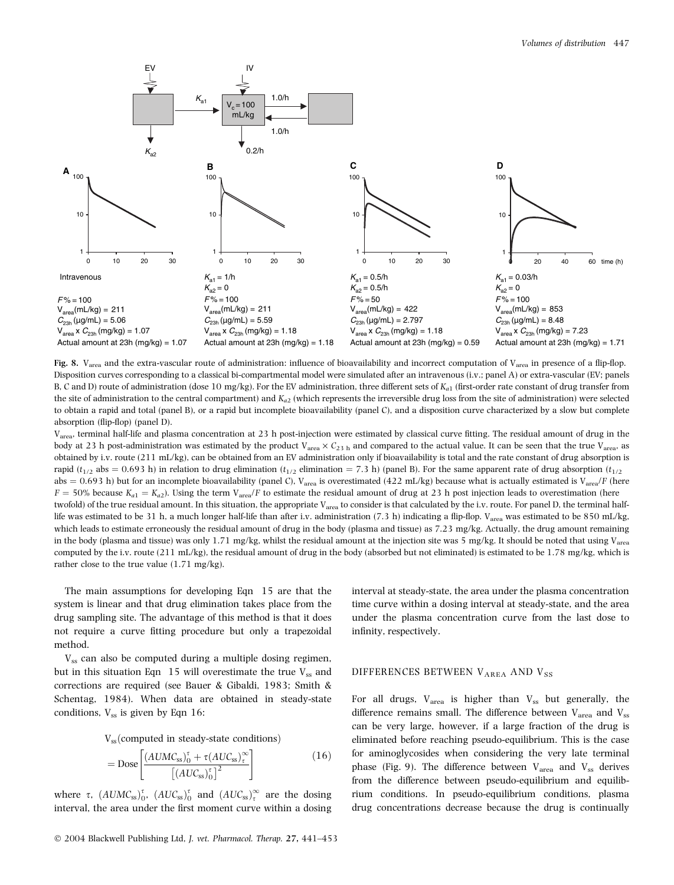

Fig. 8. V<sub>area</sub> and the extra-vascular route of administration: influence of bioavailability and incorrect computation of V<sub>area</sub> in presence of a flip-flop. Disposition curves corresponding to a classical bi-compartmental model were simulated after an intravenous (i.v.; panel A) or extra-vascular (EV; panels B, C and D) route of administration (dose 10 mg/kg). For the EV administration, three different sets of  $K_{a1}$  (first-order rate constant of drug transfer from the site of administration to the central compartment) and  $K_{a2}$  (which represents the irreversible drug loss from the site of administration) were selected to obtain a rapid and total (panel B), or a rapid but incomplete bioavailability (panel C), and a disposition curve characterized by a slow but complete absorption (flip-flop) (panel D).

V<sub>area</sub>, terminal half-life and plasma concentration at 23 h post-injection were estimated by classical curve fitting. The residual amount of drug in the body at 23 h post-administration was estimated by the product V<sub>area</sub>  $\times$  C<sub>23 h</sub> and compared to the actual value. It can be seen that the true V<sub>area</sub>, as obtained by i.v. route (211 mL/kg), can be obtained from an EV administration only if bioavailability is total and the rate constant of drug absorption is rapid ( $t_{1/2}$  abs = 0.693 h) in relation to drug elimination ( $t_{1/2}$  elimination = 7.3 h) (panel B). For the same apparent rate of drug absorption ( $t_{1/2}$ abs = 0.693 h) but for an incomplete bioavailability (panel C), V<sub>area</sub> is overestimated (422 mL/kg) because what is actually estimated is V<sub>area</sub>/F (here  $F = 50\%$  because  $K_{a1} = K_{a2}$ ). Using the term  $V_{area}/F$  to estimate the residual amount of drug at 23 h post injection leads to overestimation (here twofold) of the true residual amount. In this situation, the appropriate V<sub>area</sub> to consider is that calculated by the i.v. route. For panel D, the terminal halflife was estimated to be 31 h, a much longer half-life than after i.v. administration (7.3 h) indicating a flip-flop. V<sub>area</sub> was estimated to be 850 mL/kg, which leads to estimate erroneously the residual amount of drug in the body (plasma and tissue) as 7.23 mg/kg. Actually, the drug amount remaining in the body (plasma and tissue) was only 1.71 mg/kg, whilst the residual amount at the injection site was 5 mg/kg. It should be noted that using Varea computed by the i.v. route (211 mL/kg), the residual amount of drug in the body (absorbed but not eliminated) is estimated to be 1.78 mg/kg, which is rather close to the true value (1.71 mg/kg).

The main assumptions for developing Eqn 15 are that the system is linear and that drug elimination takes place from the drug sampling site. The advantage of this method is that it does not require a curve fitting procedure but only a trapezoidal method.

 $V_{ss}$  can also be computed during a multiple dosing regimen, but in this situation Eqn  $15$  will overestimate the true  $V_{ss}$  and corrections are required (see Bauer & Gibaldi, 1983; Smith & Schentag, 1984). When data are obtained in steady-state conditions,  $V_{ss}$  is given by Eqn 16:

 $V_{ss}$ (computed in steady-state conditions)

$$
= \text{Dose}\left[\frac{(AUMC_{ss})_0^{\tau} + \tau(AUC_{ss})_{\tau}^{\infty}}{\left[(AUC_{ss})_0^{\tau}\right]^2}\right]
$$
(16)

where  $\tau$ ,  $(AUMC_{ss})_0^{\tau}$ ,  $(AUC_{ss})_0^{\tau}$  and  $(AUC_{ss})_t^{\infty}$  are the dosing interval, the area under the first moment curve within a dosing interval at steady-state, the area under the plasma concentration time curve within a dosing interval at steady-state, and the area under the plasma concentration curve from the last dose to infinity, respectively.

#### DIFFERENCES BETWEEN VAREA AND VSS

For all drugs,  $V_{\text{area}}$  is higher than  $V_{\text{ss}}$  but generally, the difference remains small. The difference between  $V_{area}$  and  $V_{ss}$ can be very large, however, if a large fraction of the drug is eliminated before reaching pseudo-equilibrium. This is the case for aminoglycosides when considering the very late terminal phase (Fig. 9). The difference between  $V_{\text{area}}$  and  $V_{\text{ss}}$  derives from the difference between pseudo-equilibrium and equilibrium conditions. In pseudo-equilibrium conditions, plasma drug concentrations decrease because the drug is continually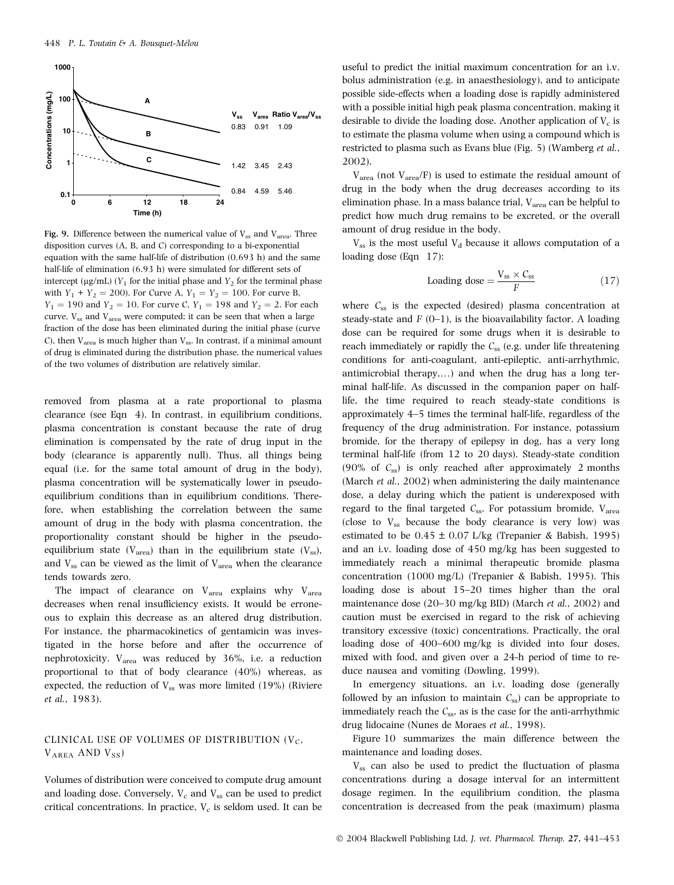

Fig. 9. Difference between the numerical value of  $V_{ss}$  and  $V_{area}$ . Three disposition curves (A, B, and C) corresponding to a bi-exponential equation with the same half-life of distribution  $(0.693$  h) and the same half-life of elimination (6.93 h) were simulated for different sets of intercept (µg/mL) ( $Y_1$  for the initial phase and  $Y_2$  for the terminal phase with  $Y_1 + Y_2 = 200$ ). For Curve A,  $Y_1 = Y_2 = 100$ . For curve B,  $Y_1 = 190$  and  $Y_2 = 10$ . For curve C,  $Y_1 = 198$  and  $Y_2 = 2$ . For each curve,  $V_{ss}$  and  $V_{area}$  were computed; it can be seen that when a large fraction of the dose has been eliminated during the initial phase (curve C), then  $V_{area}$  is much higher than  $V_{ss}$ . In contrast, if a minimal amount of drug is eliminated during the distribution phase, the numerical values of the two volumes of distribution are relatively similar.

removed from plasma at a rate proportional to plasma clearance (see Eqn 4). In contrast, in equilibrium conditions, plasma concentration is constant because the rate of drug elimination is compensated by the rate of drug input in the body (clearance is apparently null). Thus, all things being equal (i.e. for the same total amount of drug in the body), plasma concentration will be systematically lower in pseudoequilibrium conditions than in equilibrium conditions. Therefore, when establishing the correlation between the same amount of drug in the body with plasma concentration, the proportionality constant should be higher in the pseudoequilibrium state ( $V_{area}$ ) than in the equilibrium state ( $V_{ss}$ ), and  $V_{ss}$  can be viewed as the limit of  $V_{area}$  when the clearance tends towards zero.

The impact of clearance on  $V_{\text{area}}$  explains why  $V_{\text{area}}$ decreases when renal insufficiency exists. It would be erroneous to explain this decrease as an altered drug distribution. For instance, the pharmacokinetics of gentamicin was investigated in the horse before and after the occurrence of nephrotoxicity. Varea was reduced by 36%, i.e. a reduction proportional to that of body clearance (40%) whereas, as expected, the reduction of  $V_{ss}$  was more limited (19%) (Riviere et al., 1983).

# CLINICAL USE OF VOLUMES OF DISTRIBUTION  $(V<sub>C</sub>)$ ,  $V_{AREA}$  AND  $V_{SS}$ )

Volumes of distribution were conceived to compute drug amount and loading dose. Conversely,  $V_c$  and  $V_{ss}$  can be used to predict critical concentrations. In practice,  $V_c$  is seldom used. It can be

useful to predict the initial maximum concentration for an i.v. bolus administration (e.g. in anaesthesiology), and to anticipate possible side-effects when a loading dose is rapidly administered with a possible initial high peak plasma concentration, making it desirable to divide the loading dose. Another application of  $V_c$  is to estimate the plasma volume when using a compound which is restricted to plasma such as Evans blue (Fig. 5) (Wamberg et al., 2002).

 $V_{area}$  (not  $V_{area}$ F) is used to estimate the residual amount of drug in the body when the drug decreases according to its elimination phase. In a mass balance trial,  $V_{area}$  can be helpful to predict how much drug remains to be excreted, or the overall amount of drug residue in the body.

 $V_{ss}$  is the most useful  $V_d$  because it allows computation of a loading dose (Eqn 17):

$$
\text{loading dose} = \frac{V_{\text{ss}} \times C_{\text{ss}}}{F} \tag{17}
$$

where  $C_{ss}$  is the expected (desired) plasma concentration at steady-state and  $F(0-1)$ , is the bioavailability factor. A loading dose can be required for some drugs when it is desirable to reach immediately or rapidly the  $C_{ss}$  (e.g. under life threatening conditions for anti-coagulant, anti-epileptic, anti-arrhythmic, antimicrobial therapy,…) and when the drug has a long terminal half-life. As discussed in the companion paper on halflife, the time required to reach steady-state conditions is approximately 4–5 times the terminal half-life, regardless of the frequency of the drug administration. For instance, potassium bromide, for the therapy of epilepsy in dog, has a very long terminal half-life (from 12 to 20 days). Steady-state condition (90% of  $C_{ss}$ ) is only reached after approximately 2 months (March et al., 2002) when administering the daily maintenance dose, a delay during which the patient is underexposed with regard to the final targeted  $C_{ss}$ . For potassium bromide,  $V_{area}$ (close to  $V_{ss}$  because the body clearance is very low) was estimated to be  $0.45 \pm 0.07$  L/kg (Trepanier & Babish, 1995) and an i.v. loading dose of 450 mg/kg has been suggested to immediately reach a minimal therapeutic bromide plasma concentration (1000 mg/L) (Trepanier & Babish, 1995). This loading dose is about 15–20 times higher than the oral maintenance dose (20–30 mg/kg BID) (March et al., 2002) and caution must be exercised in regard to the risk of achieving transitory excessive (toxic) concentrations. Practically, the oral loading dose of 400–600 mg/kg is divided into four doses, mixed with food, and given over a 24-h period of time to reduce nausea and vomiting (Dowling, 1999).

In emergency situations, an i.v. loading dose (generally followed by an infusion to maintain  $C_{ss}$ ) can be appropriate to immediately reach the  $C_{ss}$ , as is the case for the anti-arrhythmic drug lidocaine (Nunes de Moraes et al., 1998).

Figure 10 summarizes the main difference between the maintenance and loading doses.

 $V_{ss}$  can also be used to predict the fluctuation of plasma concentrations during a dosage interval for an intermittent dosage regimen. In the equilibrium condition, the plasma concentration is decreased from the peak (maximum) plasma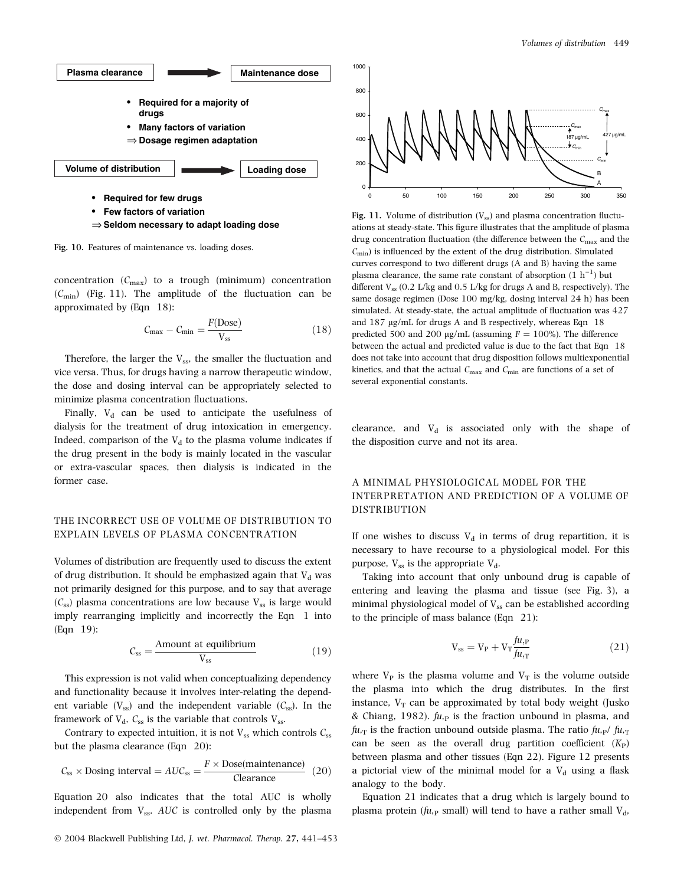

⇒ **Seldom necessary to adapt loading dose**

Fig. 10. Features of maintenance vs. loading doses.

concentration  $(C_{\text{max}})$  to a trough (minimum) concentration  $(C_{\text{min}})$  (Fig. 11). The amplitude of the fluctuation can be approximated by (Eqn 18):

$$
C_{\text{max}} - C_{\text{min}} = \frac{F(\text{Dose})}{V_{\text{ss}}}
$$
\n(18)

Therefore, the larger the  $V_{ss}$ , the smaller the fluctuation and vice versa. Thus, for drugs having a narrow therapeutic window, the dose and dosing interval can be appropriately selected to minimize plasma concentration fluctuations.

Finally,  $V_d$  can be used to anticipate the usefulness of dialysis for the treatment of drug intoxication in emergency. Indeed, comparison of the  $V<sub>d</sub>$  to the plasma volume indicates if the drug present in the body is mainly located in the vascular or extra-vascular spaces, then dialysis is indicated in the former case.

#### THE INCORRECT USE OF VOLUME OF DISTRIBUTION TO EXPLAIN LEVELS OF PLASMA CONCENTRATION

Volumes of distribution are frequently used to discuss the extent of drug distribution. It should be emphasized again that  $V_d$  was not primarily designed for this purpose, and to say that average  $(C_{ss})$  plasma concentrations are low because  $V_{ss}$  is large would imply rearranging implicitly and incorrectly the Eqn 1 into (Eqn 19):

$$
C_{\rm ss} = \frac{\text{Amount at equilibrium}}{V_{\rm ss}} \tag{19}
$$

This expression is not valid when conceptualizing dependency and functionality because it involves inter-relating the dependent variable  $(V_{ss})$  and the independent variable  $(C_{ss})$ . In the framework of  $V_d$ ,  $C_{ss}$  is the variable that controls  $V_{ss}$ .

Contrary to expected intuition, it is not  $V_{ss}$  which controls  $C_{ss}$ but the plasma clearance (Eqn 20):

$$
C_{ss} \times \text{Dosing interval} = AUC_{ss} = \frac{F \times \text{Dose}(\text{maintename})}{\text{Clearance}} \tag{20}
$$

Equation 20 also indicates that the total AUC is wholly independent from  $V_{ss}$ . AUC is controlled only by the plasma



Fig. 11. Volume of distribution  $(V_{ss})$  and plasma concentration fluctuations at steady-state. This figure illustrates that the amplitude of plasma drug concentration fluctuation (the difference between the  $C_{\rm max}$  and the  $C_{\text{min}}$ ) is influenced by the extent of the drug distribution. Simulated curves correspond to two different drugs (A and B) having the same plasma clearance, the same rate constant of absorption  $(1 h^{-1})$  but different  $V_{ss}$  (0.2 L/kg and 0.5 L/kg for drugs A and B, respectively). The same dosage regimen (Dose 100 mg/kg, dosing interval 24 h) has been simulated. At steady-state, the actual amplitude of fluctuation was 427 and  $187 \mu g/mL$  for drugs A and B respectively, whereas Eqn  $18$ predicted 500 and 200 ug/mL (assuming  $F = 100\%$ ). The difference between the actual and predicted value is due to the fact that Eqn 18 does not take into account that drug disposition follows multiexponential kinetics, and that the actual  $C_{\rm max}$  and  $C_{\rm min}$  are functions of a set of several exponential constants.

clearance, and  $V_d$  is associated only with the shape of the disposition curve and not its area.

# A MINIMAL PHYSIOLOGICAL MODEL FOR THE INTERPRETATION AND PREDICTION OF A VOLUME OF DISTRIBUTION

If one wishes to discuss  $V_d$  in terms of drug repartition, it is necessary to have recourse to a physiological model. For this purpose,  $V_{ss}$  is the appropriate  $V_{d}$ .

Taking into account that only unbound drug is capable of entering and leaving the plasma and tissue (see Fig. 3), a minimal physiological model of  $V_{ss}$  can be established according to the principle of mass balance (Eqn 21):

$$
V_{ss} = V_P + V_T \frac{f u_{,P}}{f u_{,T}} \tag{21}
$$

where  $V_P$  is the plasma volume and  $V_T$  is the volume outside the plasma into which the drug distributes. In the first instance,  $V_T$  can be approximated by total body weight (Jusko & Chiang, 1982).  $fu<sub>p</sub>$  is the fraction unbound in plasma, and  $fu_{\text{T}}$  is the fraction unbound outside plasma. The ratio  $fu_{\text{P}}/fu_{\text{T}}$ can be seen as the overall drug partition coefficient  $(K_P)$ between plasma and other tissues (Eqn 22). Figure 12 presents a pictorial view of the minimal model for a  $V_d$  using a flask analogy to the body.

Equation 21 indicates that a drug which is largely bound to plasma protein ( $fu,$ <sub>P</sub> small) will tend to have a rather small  $V<sub>d</sub>$ ,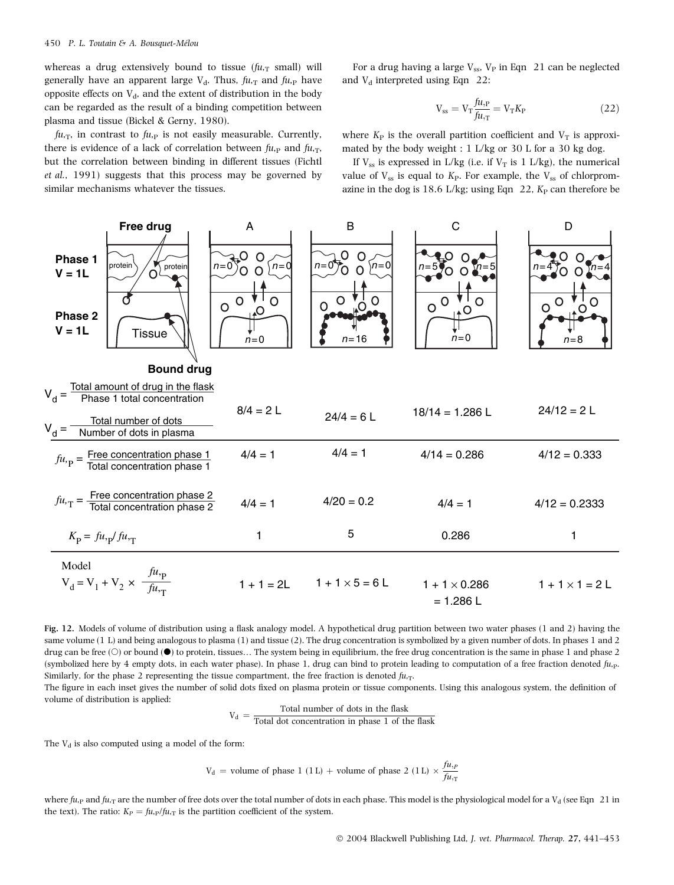whereas a drug extensively bound to tissue  $(fu, T)$  small) will generally have an apparent large  $V_d$ . Thus,  $fu_{,T}$  and  $fu_{,P}$  have opposite effects on  $V_d$ , and the extent of distribution in the body can be regarded as the result of a binding competition between plasma and tissue (Bickel & Gerny, 1980).

 $fu_{\text{T}}$ , in contrast to  $fu_{\text{P}}$  is not easily measurable. Currently, there is evidence of a lack of correlation between  $f_{u,p}$  and  $f_{u,r}$ , but the correlation between binding in different tissues (Fichtl et al., 1991) suggests that this process may be governed by similar mechanisms whatever the tissues.

For a drug having a large  $V_{ss}$ ,  $V_P$  in Eqn 21 can be neglected and  $V_d$  interpreted using Eqn 22:

$$
V_{ss} = V_T \frac{f u_{,P}}{f u_{,T}} = V_T K_P
$$
\n(22)

where  $K_P$  is the overall partition coefficient and  $V_T$  is approximated by the body weight : 1 L/kg or 30 L for a 30 kg dog.

If  $V_{ss}$  is expressed in L/kg (i.e. if  $V_T$  is 1 L/kg), the numerical value of  $V_{ss}$  is equal to  $K_{P}$ . For example, the  $V_{ss}$  of chlorpromazine in the dog is 18.6 L/kg; using Eqn 22,  $K_P$  can therefore be



Fig. 12. Models of volume of distribution using a flask analogy model. A hypothetical drug partition between two water phases (1 and 2) having the same volume (1 L) and being analogous to plasma (1) and tissue (2). The drug concentration is symbolized by a given number of dots. In phases 1 and 2 drug can be free  $(\bigcirc)$  or bound  $(\bigcirc)$  to protein, tissues... The system being in equilibrium, the free drug concentration is the same in phase 1 and phase 2 (symbolized here by 4 empty dots, in each water phase). In phase 1, drug can bind to protein leading to computation of a free fraction denoted  $f_{\mu,\nu}$ . Similarly, for the phase 2 representing the tissue compartment, the free fraction is denoted  $f_{\mu,\tau}$ .

The figure in each inset gives the number of solid dots fixed on plasma protein or tissue components. Using this analogous system, the definition of volume of distribution is applied:

$$
V_d = \frac{\text{Total number of dots in the flask}}{\text{Total dot concentration in phase 1 of the flask}}
$$

The  $V_d$  is also computed using a model of the form:

$$
V_d
$$
 = volume of phase 1 (1 L) + volume of phase 2 (1 L)  $\times \frac{f u_{\text{r}}}{f u_{\text{r}}}$ 

where fu, p and fu, T are the number of free dots over the total number of dots in each phase. This model is the physiological model for a  $V_d$  (see Eqn 21 in the text). The ratio:  $K_P = \frac{fu_{\text{P}}}{fu_{\text{T}}}$  is the partition coefficient of the system.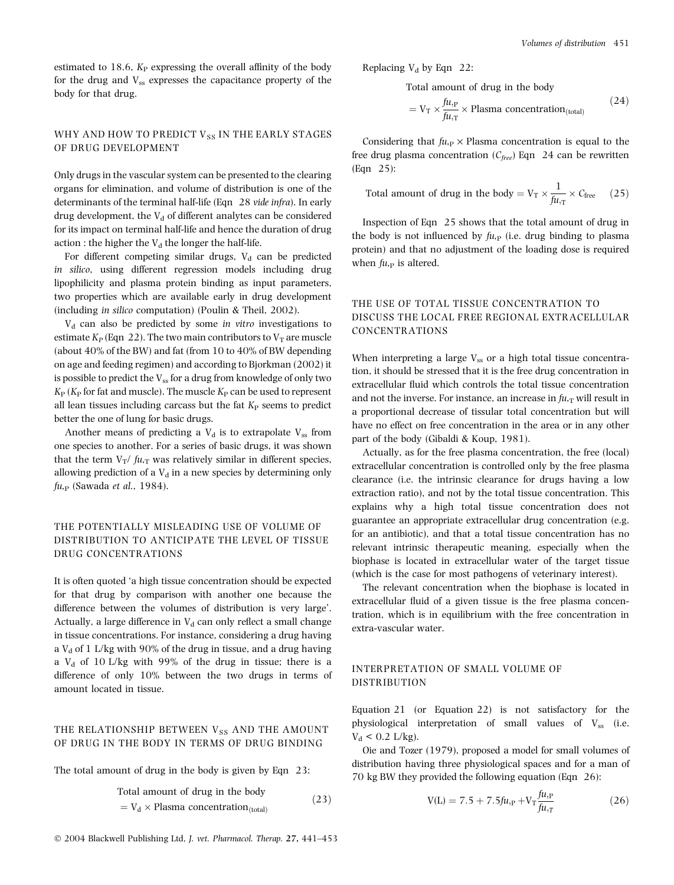estimated to  $18.6$ ,  $K_P$  expressing the overall affinity of the body for the drug and  $V_{ss}$  expresses the capacitance property of the body for that drug.

# WHY AND HOW TO PREDICT  $V_{SS}$  IN THE EARLY STAGES OF DRUG DEVELOPMENT

Only drugs in the vascular system can be presented to the clearing organs for elimination, and volume of distribution is one of the determinants of the terminal half-life (Eqn 28 vide infra). In early drug development, the  $V_d$  of different analytes can be considered for its impact on terminal half-life and hence the duration of drug action : the higher the  $V_d$  the longer the half-life.

For different competing similar drugs,  $V_d$  can be predicted in silico, using different regression models including drug lipophilicity and plasma protein binding as input parameters, two properties which are available early in drug development (including in silico computation) (Poulin & Theil, 2002).

 $V<sub>d</sub>$  can also be predicted by some in vitro investigations to estimate  $K_P$  (Eqn 22). The two main contributors to  $V_T$  are muscle (about 40% of the BW) and fat (from 10 to 40% of BW depending on age and feeding regimen) and according to Bjorkman (2002) it is possible to predict the Vss for a drug from knowledge of only two  $K_{\rm P}$  ( $K_{\rm P}$  for fat and muscle). The muscle  $K_{\rm P}$  can be used to represent all lean tissues including carcass but the fat  $K_{\rm P}$  seems to predict better the one of lung for basic drugs.

Another means of predicting a  $V_d$  is to extrapolate  $V_{ss}$  from one species to another. For a series of basic drugs, it was shown that the term  $V_T/f_{U,T}$  was relatively similar in different species, allowing prediction of a  $V_d$  in a new species by determining only  $fu_{\text{P}}$  (Sawada et al., 1984).

### THE POTENTIALLY MISLEADING USE OF VOLUME OF DISTRIBUTION TO ANTICIPATE THE LEVEL OF TISSUE DRUG CONCENTRATIONS

It is often quoted 'a high tissue concentration should be expected for that drug by comparison with another one because the difference between the volumes of distribution is very large'. Actually, a large difference in  $V<sub>d</sub>$  can only reflect a small change in tissue concentrations. For instance, considering a drug having a  $V_d$  of 1 L/kg with 90% of the drug in tissue, and a drug having a  $V_d$  of 10 L/kg with 99% of the drug in tissue; there is a difference of only 10% between the two drugs in terms of amount located in tissue.

# THE RELATIONSHIP BETWEEN  $V_{SS}$  AND THE AMOUNT OF DRUG IN THE BODY IN TERMS OF DRUG BINDING

The total amount of drug in the body is given by Eqn 23:

Total amount of drug in the body  
= 
$$
V_d \times \text{Plasma concentration}_{\text{(total)}}
$$
 (23)

Replacing  $V_d$  by Eqn 22:

Total amount of drug in the body

$$
= V_{\rm T} \times \frac{f u_{\rm P}}{f u_{\rm T}} \times \text{Plasma concentration}_{\text{(total)}} \tag{24}
$$

Considering that  $fu_{\text{P}} \times \text{Plasma concentration}$  is equal to the free drug plasma concentration ( $C_{free}$ ) Eqn 24 can be rewritten (Eqn 25):

Total amount of drug in the body = 
$$
V_T \times \frac{1}{f\mu_{,T}} \times C_{\text{free}}
$$
 (25)

Inspection of Eqn 25 shows that the total amount of drug in the body is not influenced by  $fu<sub>P</sub>$  (i.e. drug binding to plasma protein) and that no adjustment of the loading dose is required when  $fu<sub>p</sub>$  is altered.

# THE USE OF TOTAL TISSUE CONCENTRATION TO DISCUSS THE LOCAL FREE REGIONAL EXTRACELLULAR CONCENTRATIONS

When interpreting a large  $V_{ss}$  or a high total tissue concentration, it should be stressed that it is the free drug concentration in extracellular fluid which controls the total tissue concentration and not the inverse. For instance, an increase in  $fu_{\text{T}}$  will result in a proportional decrease of tissular total concentration but will have no effect on free concentration in the area or in any other part of the body (Gibaldi & Koup, 1981).

Actually, as for the free plasma concentration, the free (local) extracellular concentration is controlled only by the free plasma clearance (i.e. the intrinsic clearance for drugs having a low extraction ratio), and not by the total tissue concentration. This explains why a high total tissue concentration does not guarantee an appropriate extracellular drug concentration (e.g. for an antibiotic), and that a total tissue concentration has no relevant intrinsic therapeutic meaning, especially when the biophase is located in extracellular water of the target tissue (which is the case for most pathogens of veterinary interest).

The relevant concentration when the biophase is located in extracellular fluid of a given tissue is the free plasma concentration, which is in equilibrium with the free concentration in extra-vascular water.

#### INTERPRETATION OF SMALL VOLUME OF DISTRIBUTION

Equation 21 (or Equation 22) is not satisfactory for the physiological interpretation of small values of  $V_{ss}$  (i.e.  $V_d$  < 0.2 L/kg).

Oie and Tozer (1979), proposed a model for small volumes of distribution having three physiological spaces and for a man of 70 kg BW they provided the following equation (Eqn 26):

$$
V(L) = 7.5 + 7.5 \text{ft}_{\text{,p}} + V_{\text{T}} \frac{\text{ft}_{\text{,p}}}{\text{ft}_{\text{r},\text{T}}} \tag{26}
$$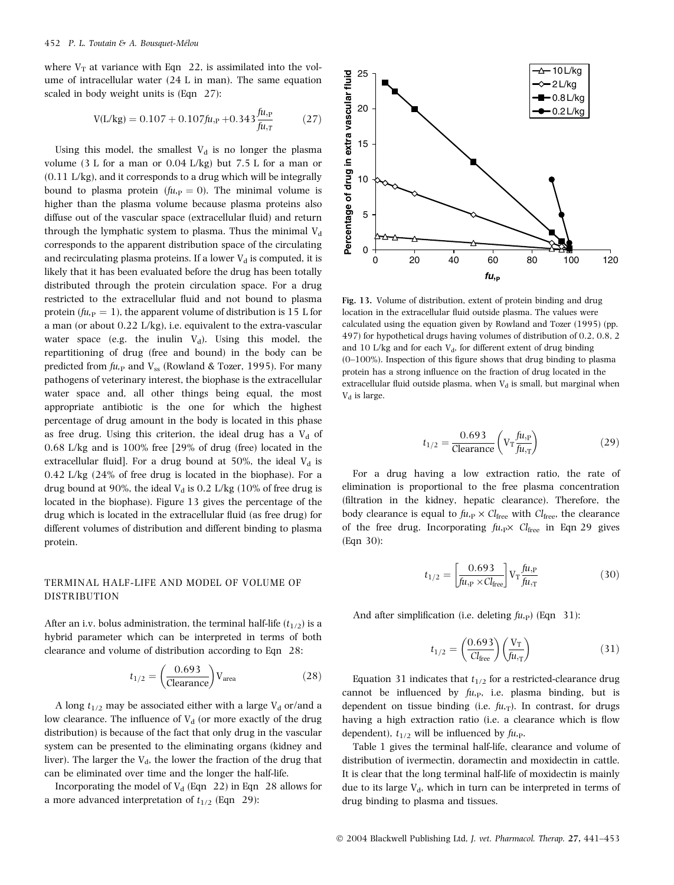where  $V_T$  at variance with Eqn 22, is assimilated into the volume of intracellular water (24 L in man). The same equation scaled in body weight units is (Eqn 27):

$$
V(L/kg) = 0.107 + 0.107 \text{ft}_{\text{,p}} + 0.343 \frac{\text{ft}_{\text{,p}}}{\text{ft}_{\text{,r}}} \tag{27}
$$

Using this model, the smallest  $V_d$  is no longer the plasma volume (3 L for a man or 0.04 L/kg) but 7.5 L for a man or (0.11 L/kg), and it corresponds to a drug which will be integrally bound to plasma protein ( $fu_{P} = 0$ ). The minimal volume is higher than the plasma volume because plasma proteins also diffuse out of the vascular space (extracellular fluid) and return through the lymphatic system to plasma. Thus the minimal  $V_d$ corresponds to the apparent distribution space of the circulating and recirculating plasma proteins. If a lower  $V_d$  is computed, it is likely that it has been evaluated before the drug has been totally distributed through the protein circulation space. For a drug restricted to the extracellular fluid and not bound to plasma protein ( $fu<sub>P</sub> = 1$ ), the apparent volume of distribution is 15 L for a man (or about 0.22 L/kg), i.e. equivalent to the extra-vascular water space (e.g. the inulin  $V_d$ ). Using this model, the repartitioning of drug (free and bound) in the body can be predicted from  $fu_{\text{P}}$  and  $V_{\text{ss}}$  (Rowland & Tozer, 1995). For many pathogens of veterinary interest, the biophase is the extracellular water space and, all other things being equal, the most appropriate antibiotic is the one for which the highest percentage of drug amount in the body is located in this phase as free drug. Using this criterion, the ideal drug has a  $V_d$  of 0.68 L/kg and is 100% free [29% of drug (free) located in the extracellular fluid]. For a drug bound at 50%, the ideal  $V_d$  is 0.42 L/kg (24% of free drug is located in the biophase). For a drug bound at 90%, the ideal  $V<sub>d</sub>$  is 0.2 L/kg (10% of free drug is located in the biophase). Figure 13 gives the percentage of the drug which is located in the extracellular fluid (as free drug) for different volumes of distribution and different binding to plasma protein.

### TERMINAL HALF-LIFE AND MODEL OF VOLUME OF DISTRIBUTION

After an i.v. bolus administration, the terminal half-life  $(t_{1/2})$  is a hybrid parameter which can be interpreted in terms of both clearance and volume of distribution according to Eqn 28:

$$
t_{1/2} = \left(\frac{0.693}{\text{Clearance}}\right) V_{\text{area}} \tag{28}
$$

A long  $t_{1/2}$  may be associated either with a large  $V_d$  or/and a low clearance. The influence of  $V<sub>d</sub>$  (or more exactly of the drug distribution) is because of the fact that only drug in the vascular system can be presented to the eliminating organs (kidney and liver). The larger the  $V_d$ , the lower the fraction of the drug that can be eliminated over time and the longer the half-life.

Incorporating the model of  $V_d$  (Eqn 22) in Eqn 28 allows for a more advanced interpretation of  $t_{1/2}$  (Eqn 29):



Fig. 13. Volume of distribution, extent of protein binding and drug location in the extracellular fluid outside plasma. The values were calculated using the equation given by Rowland and Tozer (1995) (pp. 497) for hypothetical drugs having volumes of distribution of 0.2, 0.8, 2 and 10 L/kg and for each  $V<sub>d</sub>$ , for different extent of drug binding (0–100%). Inspection of this figure shows that drug binding to plasma protein has a strong influence on the fraction of drug located in the extracellular fluid outside plasma, when  $V_d$  is small, but marginal when  $V_d$  is large.

$$
t_{1/2} = \frac{0.693}{\text{Clearance}} \left( V_{\text{T}} \frac{f_{\text{H,p}}}{f_{\text{H,r}}} \right) \tag{29}
$$

For a drug having a low extraction ratio, the rate of elimination is proportional to the free plasma concentration (filtration in the kidney, hepatic clearance). Therefore, the body clearance is equal to  $f_{u,p} \times Cl_{\text{free}}$  with  $Cl_{\text{free}}$ , the clearance of the free drug. Incorporating  $fu_{\text{p}} \times Cl_{\text{free}}$  in Eqn 29 gives (Eqn 30):

$$
t_{1/2} = \left[\frac{0.693}{\text{ftu}, \text{p} \times \text{Cl}_{\text{free}}}\right] V_{\text{T}} \frac{\text{ftu}, \text{p}}{\text{ftu}, \text{T}} \tag{30}
$$

And after simplification (i.e. deleting  $f_{u,p}$ ) (Eqn 31):

$$
t_{1/2} = \left(\frac{0.693}{Cl_{\text{free}}}\right) \left(\frac{V_{\text{T}}}{f u_{\text{T}}}\right) \tag{31}
$$

Equation 31 indicates that  $t_{1/2}$  for a restricted-clearance drug cannot be influenced by  $fu_{\text{P}}$ , i.e. plasma binding, but is dependent on tissue binding (i.e.  $fu_{\text{T}}$ ). In contrast, for drugs having a high extraction ratio (i.e. a clearance which is flow dependent),  $t_{1/2}$  will be influenced by  $fu_{\text{P}}$ .

Table 1 gives the terminal half-life, clearance and volume of distribution of ivermectin, doramectin and moxidectin in cattle. It is clear that the long terminal half-life of moxidectin is mainly due to its large  $V_d$ , which in turn can be interpreted in terms of drug binding to plasma and tissues.